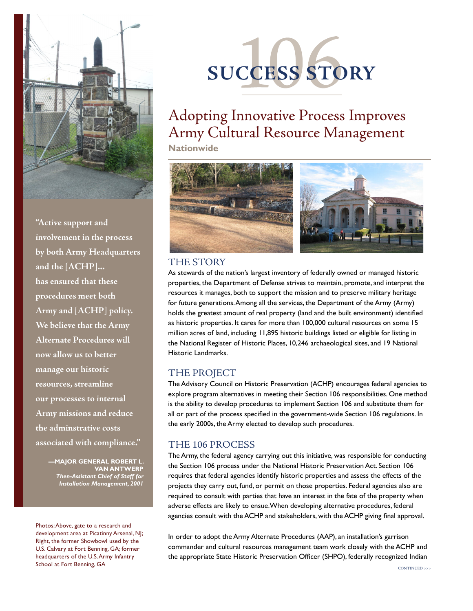

**"Active support and involvement in the process by both Army Headquarters and the [ACHP]... has ensured that these procedures meet both Army and [ACHP] policy. We believe that the Army Alternate Procedures will now allow us to better manage our historic resources, streamline our processes to internal Army missions and reduce the adminstrative costs associated with compliance."**

> **—Major General Robert L. Van Antwerp**  *Then-Assistant Chief of Staff for Installation Management, 2001*

Photos: Above, gate to a research and development area at Picatinny Arsenal, NJ; Right, the former Showbowl used by the U.S. Calvary at Fort Benning, GA; former headquarters of the U.S. Army Infantry School at Fort Benning, GA



# Adopting Innovative Process Improves Army Cultural Resource Management

**Nationwide**



### THE STORY

As stewards of the nation's largest inventory of federally owned or managed historic properties, the Department of Defense strives to maintain, promote, and interpret the resources it manages, both to support the mission and to preserve military heritage for future generations. Among all the services, the Department of the Army (Army) holds the greatest amount of real property (land and the built environment) identified as historic properties. It cares for more than 100,000 cultural resources on some 15 million acres of land, including 11,895 historic buildings listed or eligible for listing in the National Register of Historic Places, 10,246 archaeological sites, and 19 National Historic Landmarks.

## the project

The Advisory Council on Historic Preservation (ACHP) encourages federal agencies to explore program alternatives in meeting their Section 106 responsibilities. One method is the ability to develop procedures to implement Section 106 and substitute them for all or part of the process specified in the government-wide Section 106 regulations. In the early 2000s, the Army elected to develop such procedures.

## the 106 process

The Army, the federal agency carrying out this initiative, was responsible for conducting the Section 106 process under the National Historic Preservation Act. Section 106 requires that federal agencies identify historic properties and assess the effects of the projects they carry out, fund, or permit on those properties. Federal agencies also are required to consult with parties that have an interest in the fate of the property when adverse effects are likely to ensue.When developing alternative procedures, federal agencies consult with the ACHP and stakeholders, with the ACHP giving final approval.

In order to adopt the Army Alternate Procedures (AAP), an installation's garrison commander and cultural resources management team work closely with the ACHP and the appropriate State Historic Preservation Officer (SHPO), federally recognized Indian